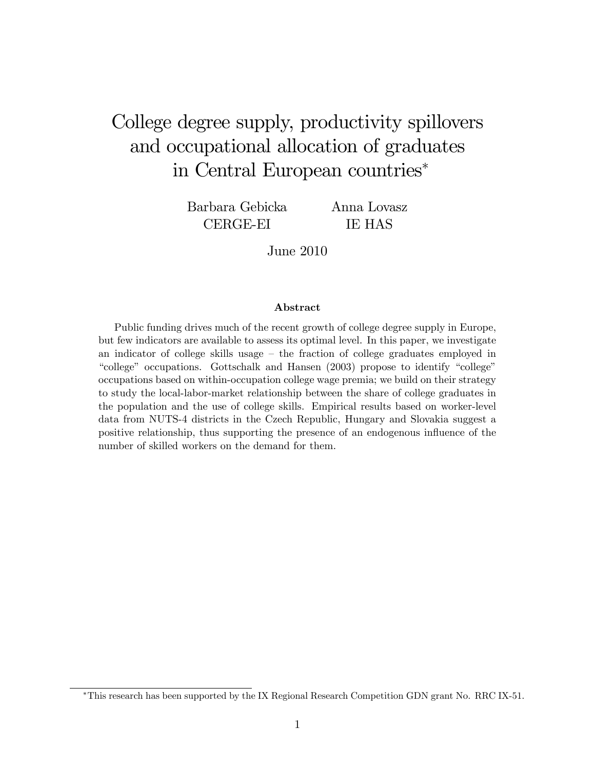## College degree supply, productivity spillovers and occupational allocation of graduates in Central European countries

Barbara Gebicka CERGE-EI

Anna Lovasz IE HAS

June 2010

#### Abstract

Public funding drives much of the recent growth of college degree supply in Europe, but few indicators are available to assess its optimal level. In this paper, we investigate an indicator of college skills usage  $-$  the fraction of college graduates employed in  $\degree$ college" occupations. Gottschalk and Hansen (2003) propose to identify  $\degree$ college" occupations based on within-occupation college wage premia; we build on their strategy to study the local-labor-market relationship between the share of college graduates in the population and the use of college skills. Empirical results based on worker-level data from NUTS-4 districts in the Czech Republic, Hungary and Slovakia suggest a positive relationship, thus supporting the presence of an endogenous ináuence of the number of skilled workers on the demand for them.

This research has been supported by the IX Regional Research Competition GDN grant No. RRC IX-51.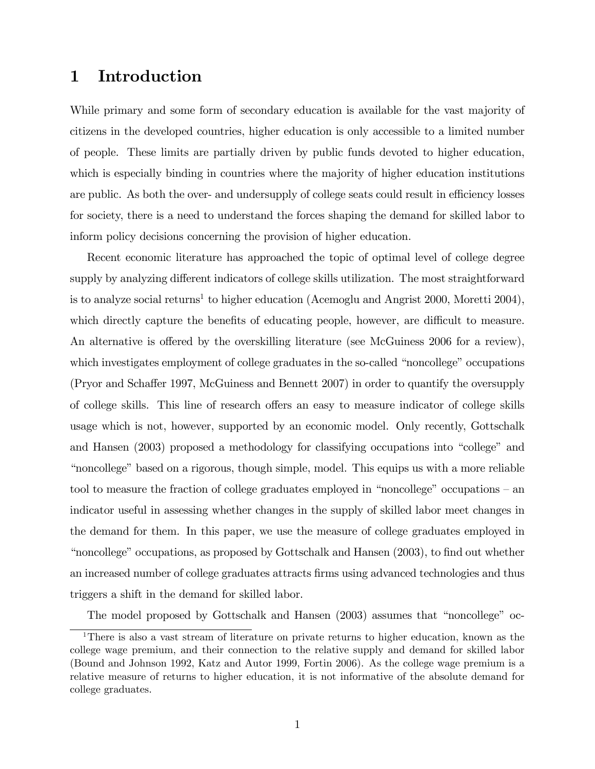### 1 Introduction

While primary and some form of secondary education is available for the vast majority of citizens in the developed countries, higher education is only accessible to a limited number of people. These limits are partially driven by public funds devoted to higher education, which is especially binding in countries where the majority of higher education institutions are public. As both the over- and undersupply of college seats could result in efficiency losses for society, there is a need to understand the forces shaping the demand for skilled labor to inform policy decisions concerning the provision of higher education.

Recent economic literature has approached the topic of optimal level of college degree supply by analyzing different indicators of college skills utilization. The most straightforward is to analyze social returns<sup>1</sup> to higher education (Acemoglu and Angrist 2000, Moretti 2004), which directly capture the benefits of educating people, however, are difficult to measure. An alternative is offered by the overskilling literature (see McGuiness 2006 for a review), which investigates employment of college graduates in the so-called "noncollege" occupations (Pryor and Scha§er 1997, McGuiness and Bennett 2007) in order to quantify the oversupply of college skills. This line of research offers an easy to measure indicator of college skills usage which is not, however, supported by an economic model. Only recently, Gottschalk and Hansen (2003) proposed a methodology for classifying occupations into "college" and "noncollege" based on a rigorous, though simple, model. This equips us with a more reliable tool to measure the fraction of college graduates employed in "noncollege" occupations  $-$  an indicator useful in assessing whether changes in the supply of skilled labor meet changes in the demand for them. In this paper, we use the measure of college graduates employed in "noncollege" occupations, as proposed by Gottschalk and Hansen (2003), to find out whether an increased number of college graduates attracts Örms using advanced technologies and thus triggers a shift in the demand for skilled labor.

The model proposed by Gottschalk and Hansen  $(2003)$  assumes that "noncollege" oc-

<sup>1</sup>There is also a vast stream of literature on private returns to higher education, known as the college wage premium, and their connection to the relative supply and demand for skilled labor (Bound and Johnson 1992, Katz and Autor 1999, Fortin 2006). As the college wage premium is a relative measure of returns to higher education, it is not informative of the absolute demand for college graduates.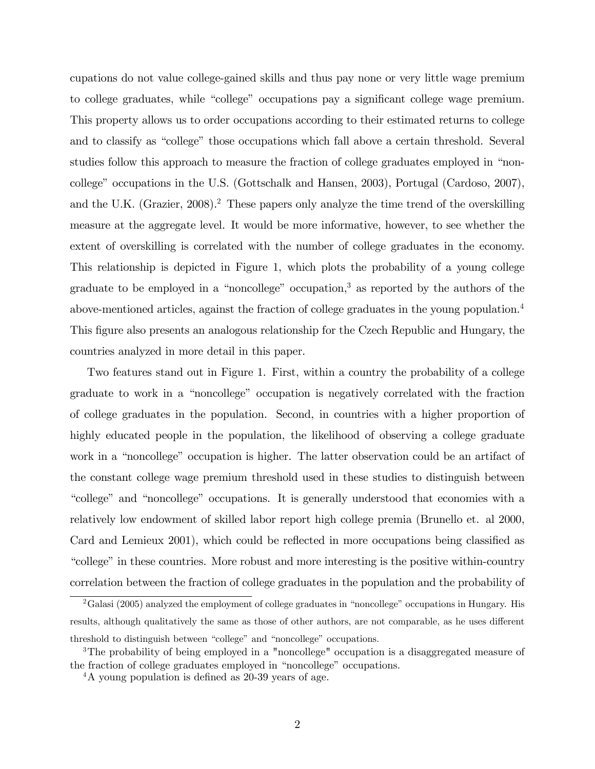cupations do not value college-gained skills and thus pay none or very little wage premium to college graduates, while "college" occupations pay a significant college wage premium. This property allows us to order occupations according to their estimated returns to college and to classify as "college" those occupations which fall above a certain threshold. Several studies follow this approach to measure the fraction of college graduates employed in "noncollegeî occupations in the U.S. (Gottschalk and Hansen, 2003), Portugal (Cardoso, 2007), and the U.K. (Grazier,  $2008$ ).<sup>2</sup> These papers only analyze the time trend of the overskilling measure at the aggregate level. It would be more informative, however, to see whether the extent of overskilling is correlated with the number of college graduates in the economy. This relationship is depicted in Figure 1, which plots the probability of a young college graduate to be employed in a "noncollege" occupation, $3$  as reported by the authors of the above-mentioned articles, against the fraction of college graduates in the young population.<sup>4</sup> This figure also presents an analogous relationship for the Czech Republic and Hungary, the countries analyzed in more detail in this paper.

Two features stand out in Figure 1. First, within a country the probability of a college graduate to work in a "noncollege" occupation is negatively correlated with the fraction of college graduates in the population. Second, in countries with a higher proportion of highly educated people in the population, the likelihood of observing a college graduate work in a "noncollege" occupation is higher. The latter observation could be an artifact of the constant college wage premium threshold used in these studies to distinguish between "college" and "noncollege" occupations. It is generally understood that economies with a relatively low endowment of skilled labor report high college premia (Brunello et. al 2000, Card and Lemieux  $2001$ , which could be reflected in more occupations being classified as "college" in these countries. More robust and more interesting is the positive within-country correlation between the fraction of college graduates in the population and the probability of

 $2<sup>2</sup>$ Galasi (2005) analyzed the employment of college graduates in "noncollege" occupations in Hungary. His results, although qualitatively the same as those of other authors, are not comparable, as he uses different threshold to distinguish between "college" and "noncollege" occupations.

<sup>&</sup>lt;sup>3</sup>The probability of being employed in a "noncollege" occupation is a disaggregated measure of the fraction of college graduates employed in "noncollege" occupations.

<sup>&</sup>lt;sup>4</sup>A young population is defined as 20-39 years of age.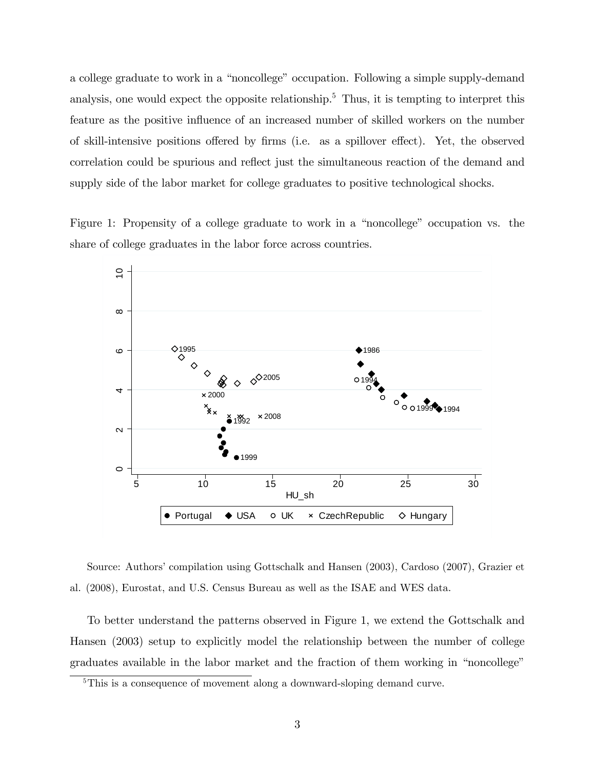a college graduate to work in a "noncollege" occupation. Following a simple supply-demand analysis, one would expect the opposite relationship.<sup>5</sup> Thus, it is tempting to interpret this feature as the positive influence of an increased number of skilled workers on the number of skill-intensive positions offered by firms (i.e. as a spillover effect). Yet, the observed correlation could be spurious and reflect just the simultaneous reaction of the demand and supply side of the labor market for college graduates to positive technological shocks.

Figure 1: Propensity of a college graduate to work in a "noncollege" occupation vs. the share of college graduates in the labor force across countries.



Source: Authors' compilation using Gottschalk and Hansen (2003), Cardoso (2007), Grazier et al. (2008), Eurostat, and U.S. Census Bureau as well as the ISAE and WES data.

To better understand the patterns observed in Figure 1, we extend the Gottschalk and Hansen (2003) setup to explicitly model the relationship between the number of college graduates available in the labor market and the fraction of them working in "noncollege"

<sup>&</sup>lt;sup>5</sup>This is a consequence of movement along a downward-sloping demand curve.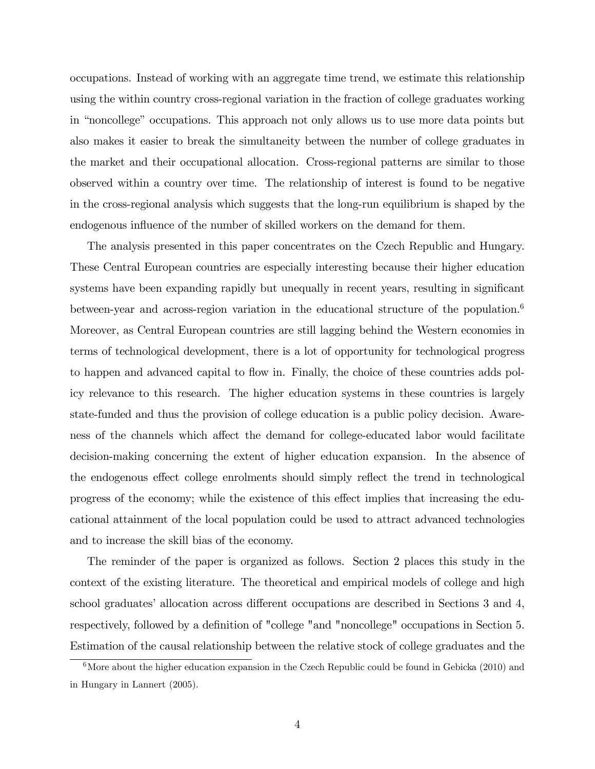occupations. Instead of working with an aggregate time trend, we estimate this relationship using the within country cross-regional variation in the fraction of college graduates working in "noncollege" occupations. This approach not only allows us to use more data points but also makes it easier to break the simultaneity between the number of college graduates in the market and their occupational allocation. Cross-regional patterns are similar to those observed within a country over time. The relationship of interest is found to be negative in the cross-regional analysis which suggests that the long-run equilibrium is shaped by the endogenous influence of the number of skilled workers on the demand for them.

The analysis presented in this paper concentrates on the Czech Republic and Hungary. These Central European countries are especially interesting because their higher education systems have been expanding rapidly but unequally in recent years, resulting in significant between-year and across-region variation in the educational structure of the population.<sup>6</sup> Moreover, as Central European countries are still lagging behind the Western economies in terms of technological development, there is a lot of opportunity for technological progress to happen and advanced capital to flow in. Finally, the choice of these countries adds policy relevance to this research. The higher education systems in these countries is largely state-funded and thus the provision of college education is a public policy decision. Awareness of the channels which affect the demand for college-educated labor would facilitate decision-making concerning the extent of higher education expansion. In the absence of the endogenous effect college enrolments should simply reflect the trend in technological progress of the economy; while the existence of this effect implies that increasing the educational attainment of the local population could be used to attract advanced technologies and to increase the skill bias of the economy.

The reminder of the paper is organized as follows. Section 2 places this study in the context of the existing literature. The theoretical and empirical models of college and high school graduates' allocation across different occupations are described in Sections 3 and 4, respectively, followed by a definition of "college "and "noncollege" occupations in Section 5. Estimation of the causal relationship between the relative stock of college graduates and the

 $6$ More about the higher education expansion in the Czech Republic could be found in Gebicka (2010) and in Hungary in Lannert (2005).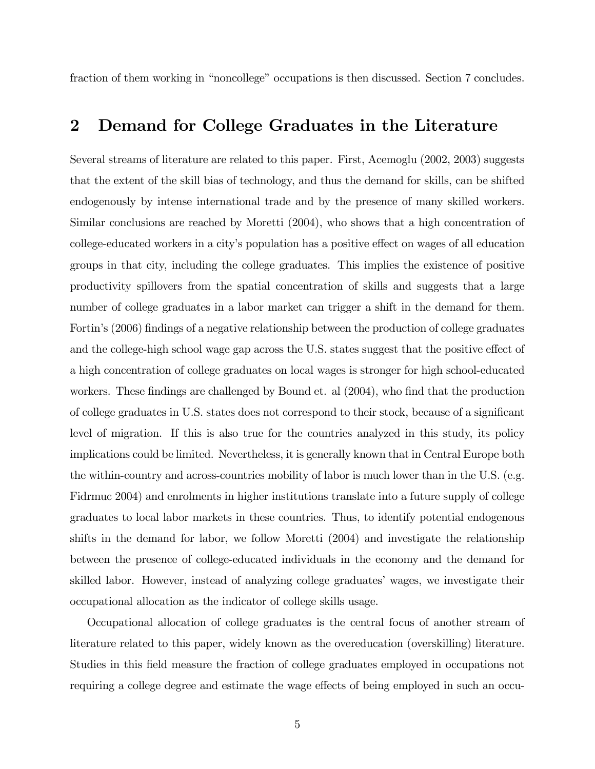fraction of them working in "noncollege" occupations is then discussed. Section 7 concludes.

### 2 Demand for College Graduates in the Literature

Several streams of literature are related to this paper. First, Acemoglu (2002, 2003) suggests that the extent of the skill bias of technology, and thus the demand for skills, can be shifted endogenously by intense international trade and by the presence of many skilled workers. Similar conclusions are reached by Moretti (2004), who shows that a high concentration of college-educated workers in a city's population has a positive effect on wages of all education groups in that city, including the college graduates. This implies the existence of positive productivity spillovers from the spatial concentration of skills and suggests that a large number of college graduates in a labor market can trigger a shift in the demand for them. Fortin's (2006) findings of a negative relationship between the production of college graduates and the college-high school wage gap across the U.S. states suggest that the positive effect of a high concentration of college graduates on local wages is stronger for high school-educated workers. These findings are challenged by Bound et. al  $(2004)$ , who find that the production of college graduates in U.S. states does not correspond to their stock, because of a significant level of migration. If this is also true for the countries analyzed in this study, its policy implications could be limited. Nevertheless, it is generally known that in Central Europe both the within-country and across-countries mobility of labor is much lower than in the U.S. (e.g. Fidrmuc 2004) and enrolments in higher institutions translate into a future supply of college graduates to local labor markets in these countries. Thus, to identify potential endogenous shifts in the demand for labor, we follow Moretti (2004) and investigate the relationship between the presence of college-educated individuals in the economy and the demand for skilled labor. However, instead of analyzing college graduates' wages, we investigate their occupational allocation as the indicator of college skills usage.

Occupational allocation of college graduates is the central focus of another stream of literature related to this paper, widely known as the overeducation (overskilling) literature. Studies in this field measure the fraction of college graduates employed in occupations not requiring a college degree and estimate the wage effects of being employed in such an occu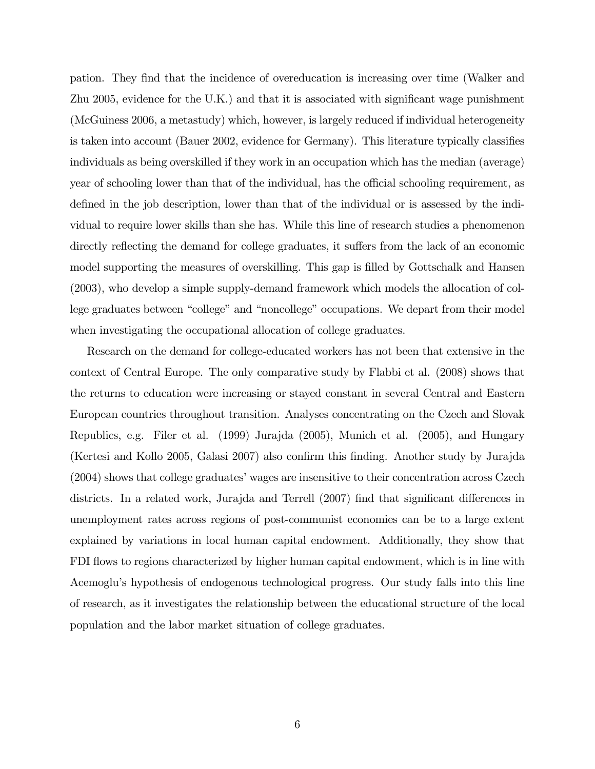pation. They find that the incidence of overeducation is increasing over time (Walker and Zhu  $2005$ , evidence for the U.K.) and that it is associated with significant wage punishment (McGuiness 2006, a metastudy) which, however, is largely reduced if individual heterogeneity is taken into account (Bauer  $2002$ , evidence for Germany). This literature typically classifies individuals as being overskilled if they work in an occupation which has the median (average) year of schooling lower than that of the individual, has the official schooling requirement, as defined in the job description, lower than that of the individual or is assessed by the individual to require lower skills than she has. While this line of research studies a phenomenon directly reflecting the demand for college graduates, it suffers from the lack of an economic model supporting the measures of overskilling. This gap is filled by Gottschalk and Hansen (2003), who develop a simple supply-demand framework which models the allocation of college graduates between "college" and "noncollege" occupations. We depart from their model when investigating the occupational allocation of college graduates.

Research on the demand for college-educated workers has not been that extensive in the context of Central Europe. The only comparative study by Flabbi et al. (2008) shows that the returns to education were increasing or stayed constant in several Central and Eastern European countries throughout transition. Analyses concentrating on the Czech and Slovak Republics, e.g. Filer et al. (1999) Jurajda (2005), Munich et al. (2005), and Hungary (Kertesi and Kollo 2005, Galasi 2007) also confirm this finding. Another study by Jurajda  $(2004)$  shows that college graduates' wages are insensitive to their concentration across Czech districts. In a related work, Jurajda and Terrell  $(2007)$  find that significant differences in unemployment rates across regions of post-communist economies can be to a large extent explained by variations in local human capital endowment. Additionally, they show that FDI flows to regions characterized by higher human capital endowment, which is in line with Acemogluís hypothesis of endogenous technological progress. Our study falls into this line of research, as it investigates the relationship between the educational structure of the local population and the labor market situation of college graduates.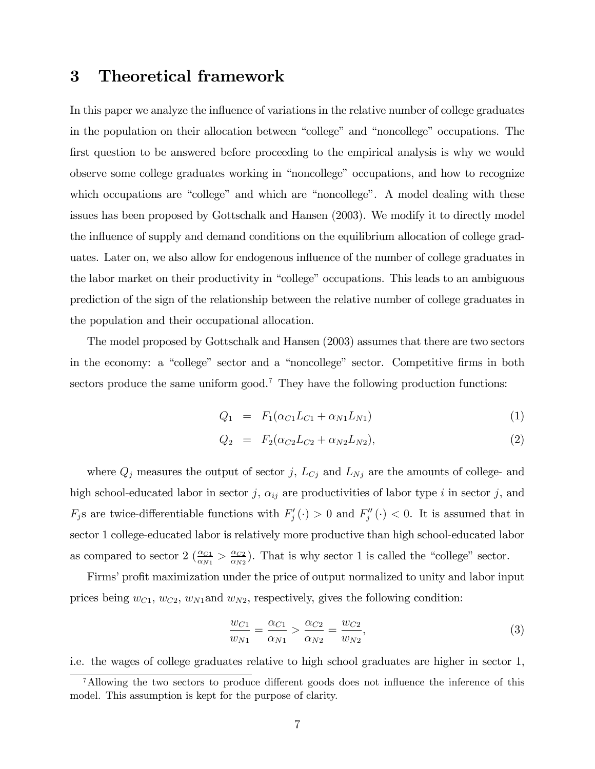### 3 Theoretical framework

In this paper we analyze the influence of variations in the relative number of college graduates in the population on their allocation between "college" and "noncollege" occupations. The first question to be answered before proceeding to the empirical analysis is why we would observe some college graduates working in "noncollege" occupations, and how to recognize which occupations are "college" and which are "noncollege". A model dealing with these issues has been proposed by Gottschalk and Hansen (2003). We modify it to directly model the influence of supply and demand conditions on the equilibrium allocation of college graduates. Later on, we also allow for endogenous influence of the number of college graduates in the labor market on their productivity in "college" occupations. This leads to an ambiguous prediction of the sign of the relationship between the relative number of college graduates in the population and their occupational allocation.

The model proposed by Gottschalk and Hansen (2003) assumes that there are two sectors in the economy: a "college" sector and a "noncollege" sector. Competitive firms in both sectors produce the same uniform good.<sup>7</sup> They have the following production functions:

$$
Q_1 = F_1(\alpha_{C1}L_{C1} + \alpha_{N1}L_{N1})
$$
\n(1)

$$
Q_2 = F_2(\alpha_{C2}L_{C2} + \alpha_{N2}L_{N2}), \qquad (2)
$$

where  $Q_j$  measures the output of sector j,  $L_{C_j}$  and  $L_{N_j}$  are the amounts of college- and high school-educated labor in sector j,  $\alpha_{ij}$  are productivities of labor type i in sector j, and  $F_j$ s are twice-differentiable functions with  $F'_j(\cdot) > 0$  and  $F''_j(\cdot) < 0$ . It is assumed that in sector 1 college-educated labor is relatively more productive than high school-educated labor as compared to sector 2  $(\frac{\alpha_{C1}}{\alpha_{N1}} > \frac{\alpha_{C2}}{\alpha_{N2}})$  $\frac{\alpha_{C2}}{\alpha_{N2}}$ . That is why sector 1 is called the "college" sector.

Firms' profit maximization under the price of output normalized to unity and labor input prices being  $w_{C1}$ ,  $w_{C2}$ ,  $w_{N1}$  and  $w_{N2}$ , respectively, gives the following condition:

$$
\frac{w_{C1}}{w_{N1}} = \frac{\alpha_{C1}}{\alpha_{N1}} > \frac{\alpha_{C2}}{\alpha_{N2}} = \frac{w_{C2}}{w_{N2}},
$$
\n(3)

i.e. the wages of college graduates relative to high school graduates are higher in sector 1,

<sup>&</sup>lt;sup>7</sup>Allowing the two sectors to produce different goods does not influence the inference of this model. This assumption is kept for the purpose of clarity.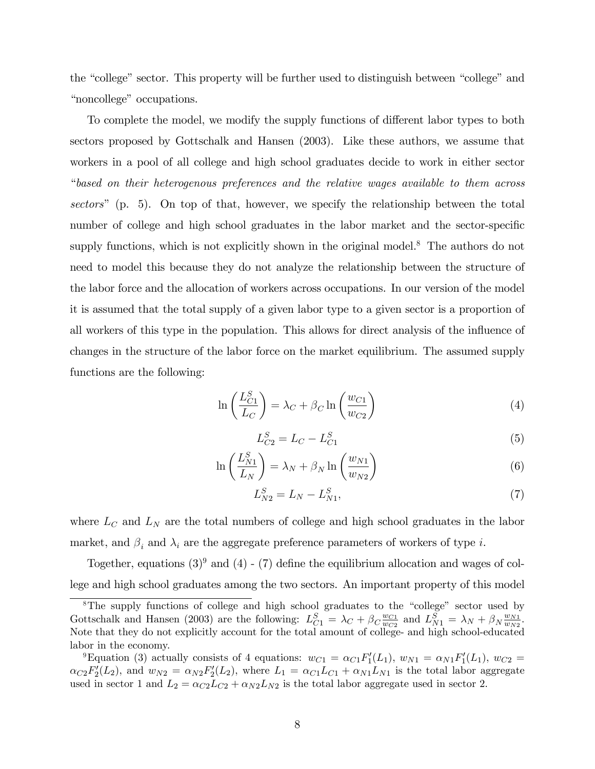the "college" sector. This property will be further used to distinguish between "college" and "noncollege" occupations.

To complete the model, we modify the supply functions of different labor types to both sectors proposed by Gottschalk and Hansen (2003). Like these authors, we assume that workers in a pool of all college and high school graduates decide to work in either sector ìbased on their heterogenous preferences and the relative wages available to them across sectors" (p. 5). On top of that, however, we specify the relationship between the total number of college and high school graduates in the labor market and the sector-specific supply functions, which is not explicitly shown in the original model.<sup>8</sup> The authors do not need to model this because they do not analyze the relationship between the structure of the labor force and the allocation of workers across occupations. In our version of the model it is assumed that the total supply of a given labor type to a given sector is a proportion of all workers of this type in the population. This allows for direct analysis of the influence of changes in the structure of the labor force on the market equilibrium. The assumed supply functions are the following:

$$
\ln\left(\frac{L_{C1}^S}{L_C}\right) = \lambda_C + \beta_C \ln\left(\frac{w_{C1}}{w_{C2}}\right)
$$
\n(4)

$$
L_{C2}^S = L_C - L_{C1}^S \tag{5}
$$

$$
\ln\left(\frac{L_{N1}^S}{L_N}\right) = \lambda_N + \beta_N \ln\left(\frac{w_{N1}}{w_{N2}}\right) \tag{6}
$$

$$
L_{N2}^{S} = L_N - L_{N1}^{S},\tag{7}
$$

where  $L_C$  and  $L_N$  are the total numbers of college and high school graduates in the labor market, and  $\beta_i$  and  $\lambda_i$  are the aggregate preference parameters of workers of type  $i.$ 

Together, equations  $(3)^9$  and  $(4)$  -  $(7)$  define the equilibrium allocation and wages of college and high school graduates among the two sectors. An important property of this model

<sup>&</sup>lt;sup>8</sup>The supply functions of college and high school graduates to the "college" sector used by Gottschalk and Hansen (2003) are the following:  $L_{C1}^S = \lambda_C + \beta_C \frac{w_{C1}}{w_{C2}}$  $\frac{w_{C1}}{w_{C2}}$  and  $L_{N1}^S = \lambda_N + \beta_N \frac{w_{N1}}{w_{N2}}$  $\frac{w_{N1}}{w_{N2}}.$ Note that they do not explicitly account for the total amount of college- and high school-educated labor in the economy.

<sup>&</sup>lt;sup>9</sup>Equation (3) actually consists of 4 equations:  $w_{C1} = \alpha_{C1} F_1'(L_1)$ ,  $w_{N1} = \alpha_{N1} F_1'(L_1)$ ,  $w_{C2} =$  $\alpha_{C2}F'_2(L_2)$ , and  $w_{N2} = \alpha_{N2}F'_2(L_2)$ , where  $L_1 = \alpha_{C1}L_{C1} + \alpha_{N1}L_{N1}$  is the total labor aggregate used in sector 1 and  $L_2 = \alpha_{C2}L_{C2} + \alpha_{N2}L_{N2}$  is the total labor aggregate used in sector 2.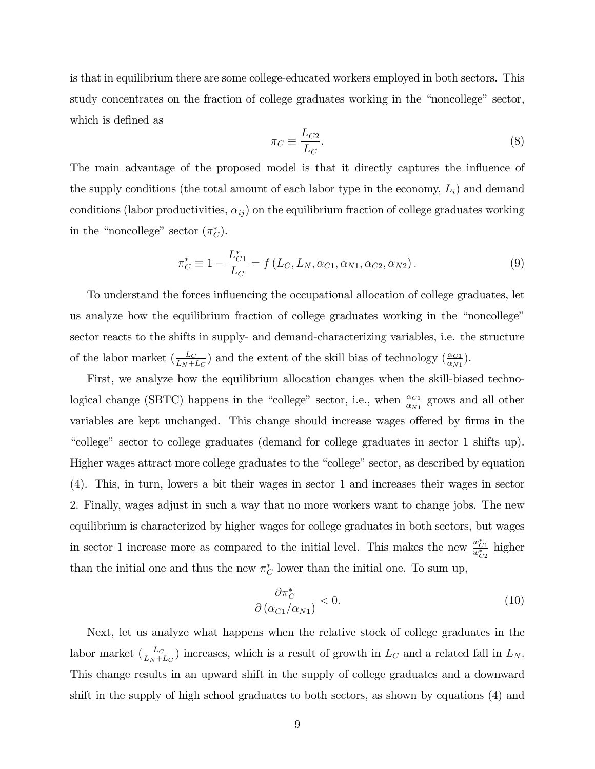is that in equilibrium there are some college-educated workers employed in both sectors. This study concentrates on the fraction of college graduates working in the "noncollege" sector, which is defined as

$$
\pi_C \equiv \frac{L_{C2}}{L_C}.\tag{8}
$$

The main advantage of the proposed model is that it directly captures the influence of the supply conditions (the total amount of each labor type in the economy,  $L_i$ ) and demand conditions (labor productivities,  $\alpha_{ij}$ ) on the equilibrium fraction of college graduates working in the "noncollege" sector  $(\pi_C^*)$ .

$$
\pi_C^* \equiv 1 - \frac{L_{C1}^*}{L_C} = f(L_C, L_N, \alpha_{C1}, \alpha_{N1}, \alpha_{C2}, \alpha_{N2}).
$$
\n(9)

To understand the forces influencing the occupational allocation of college graduates, let us analyze how the equilibrium fraction of college graduates working in the "noncollege" sector reacts to the shifts in supply- and demand-characterizing variables, i.e. the structure of the labor market  $\left(\frac{L_C}{L_N + L_C}\right)$  and the extent of the skill bias of technology  $\left(\frac{\alpha_{C_1}}{\alpha_{N_1}}\right)$ .

First, we analyze how the equilibrium allocation changes when the skill-biased technological change (SBTC) happens in the "college" sector, i.e., when  $\frac{\alpha_{C1}}{\alpha_{N1}}$  grows and all other variables are kept unchanged. This change should increase wages offered by firms in the ìcollegeî sector to college graduates (demand for college graduates in sector 1 shifts up). Higher wages attract more college graduates to the "college" sector, as described by equation (4). This, in turn, lowers a bit their wages in sector 1 and increases their wages in sector 2. Finally, wages adjust in such a way that no more workers want to change jobs. The new equilibrium is characterized by higher wages for college graduates in both sectors, but wages in sector 1 increase more as compared to the initial level. This makes the new  $\frac{w_{C1}^*}{w_{C2}^*}$  higher than the initial one and thus the new  $\pi_C^*$  lower than the initial one. To sum up,

$$
\frac{\partial \pi_C^*}{\partial (\alpha_{C1}/\alpha_{N1})} < 0. \tag{10}
$$

Next, let us analyze what happens when the relative stock of college graduates in the labor market  $(\frac{L_C}{L_N + L_C})$  increases, which is a result of growth in  $L_C$  and a related fall in  $L_N$ . This change results in an upward shift in the supply of college graduates and a downward shift in the supply of high school graduates to both sectors, as shown by equations (4) and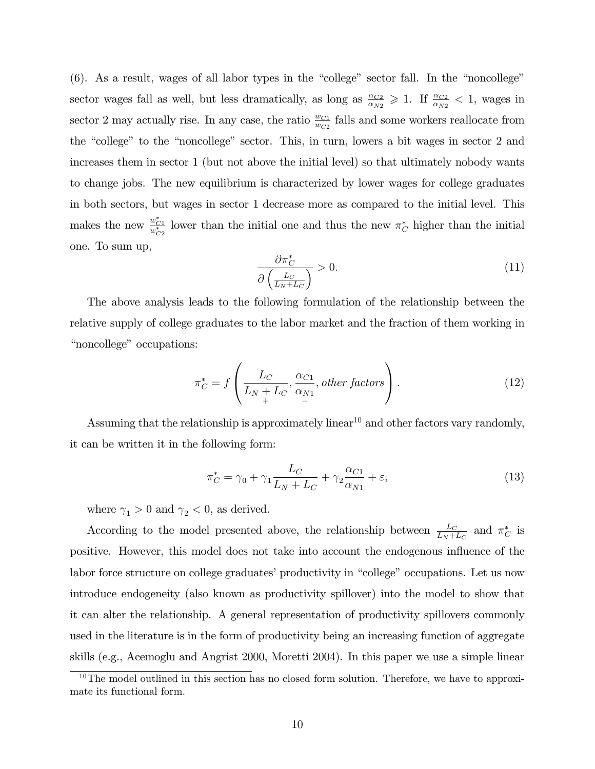$(6)$ . As a result, wages of all labor types in the "college" sector fall. In the "noncollege" sector wages fall as well, but less dramatically, as long as  $\frac{\alpha_{C2}}{\alpha_{N2}} \geq 1$ . If  $\frac{\alpha_{C2}}{\alpha_{N2}} < 1$ , wages in sector 2 may actually rise. In any case, the ratio  $\frac{w_{C1}}{w_{C2}}$  falls and some workers reallocate from the "college" to the "noncollege" sector. This, in turn, lowers a bit wages in sector 2 and increases them in sector 1 (but not above the initial level) so that ultimately nobody wants to change jobs. The new equilibrium is characterized by lower wages for college graduates in both sectors, but wages in sector 1 decrease more as compared to the initial level. This makes the new  $\frac{w_{C_1}^*}{w_{C_2}^*}$  lower than the initial one and thus the new  $\pi_C^*$  higher than the initial one. To sum up,

$$
\frac{\partial \pi_C^*}{\partial \left(\frac{L_C}{L_N + L_C}\right)} > 0. \tag{11}
$$

The above analysis leads to the following formulation of the relationship between the relative supply of college graduates to the labor market and the fraction of them working in "noncollege" occupations:

$$
\pi_C^* = f\left(\frac{L_C}{L_N + L_C}, \frac{\alpha_{C1}}{\alpha_{N1}}, other factors\right). \tag{12}
$$

Assuming that the relationship is approximately linear<sup>10</sup> and other factors vary randomly, it can be written it in the following form:

$$
\pi_C^* = \gamma_0 + \gamma_1 \frac{L_C}{L_N + L_C} + \gamma_2 \frac{\alpha_{C1}}{\alpha_{N1}} + \varepsilon,\tag{13}
$$

where  $\gamma_1 > 0$  and  $\gamma_2 < 0$ , as derived.

According to the model presented above, the relationship between  $\frac{L_C}{L_N + L_C}$  and  $\pi_C^*$  is positive. However, this model does not take into account the endogenous influence of the labor force structure on college graduates' productivity in "college" occupations. Let us now introduce endogeneity (also known as productivity spillover) into the model to show that it can alter the relationship. A general representation of productivity spillovers commonly used in the literature is in the form of productivity being an increasing function of aggregate skills (e.g., Acemoglu and Angrist 2000, Moretti 2004). In this paper we use a simple linear

 $10$ The model outlined in this section has no closed form solution. Therefore, we have to approximate its functional form.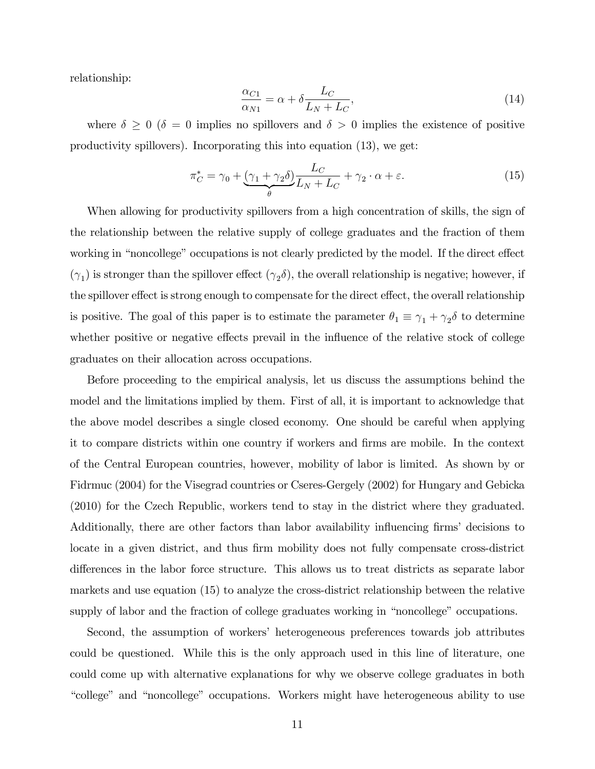relationship:

$$
\frac{\alpha_{C1}}{\alpha_{N1}} = \alpha + \delta \frac{L_C}{L_N + L_C},\tag{14}
$$

where  $\delta \geq 0$  ( $\delta = 0$  implies no spillovers and  $\delta > 0$  implies the existence of positive productivity spillovers). Incorporating this into equation (13), we get:

$$
\pi_C^* = \gamma_0 + \underbrace{(\gamma_1 + \gamma_2 \delta)}_{\theta} \underbrace{L_C}_{L_N + L_C} + \gamma_2 \cdot \alpha + \varepsilon. \tag{15}
$$

When allowing for productivity spillovers from a high concentration of skills, the sign of the relationship between the relative supply of college graduates and the fraction of them working in "noncollege" occupations is not clearly predicted by the model. If the direct effect  $(\gamma_1)$  is stronger than the spillover effect  $(\gamma_2 \delta)$ , the overall relationship is negative; however, if the spillover effect is strong enough to compensate for the direct effect, the overall relationship is positive. The goal of this paper is to estimate the parameter  $\theta_1 \equiv \gamma_1 + \gamma_2 \delta$  to determine whether positive or negative effects prevail in the influence of the relative stock of college graduates on their allocation across occupations.

Before proceeding to the empirical analysis, let us discuss the assumptions behind the model and the limitations implied by them. First of all, it is important to acknowledge that the above model describes a single closed economy. One should be careful when applying it to compare districts within one country if workers and firms are mobile. In the context of the Central European countries, however, mobility of labor is limited. As shown by or Fidrmuc (2004) for the Visegrad countries or Cseres-Gergely (2002) for Hungary and Gebicka (2010) for the Czech Republic, workers tend to stay in the district where they graduated. Additionally, there are other factors than labor availability influencing firms' decisions to locate in a given district, and thus firm mobility does not fully compensate cross-district differences in the labor force structure. This allows us to treat districts as separate labor markets and use equation (15) to analyze the cross-district relationship between the relative supply of labor and the fraction of college graduates working in "noncollege" occupations.

Second, the assumption of workersí heterogeneous preferences towards job attributes could be questioned. While this is the only approach used in this line of literature, one could come up with alternative explanations for why we observe college graduates in both "college" and "noncollege" occupations. Workers might have heterogeneous ability to use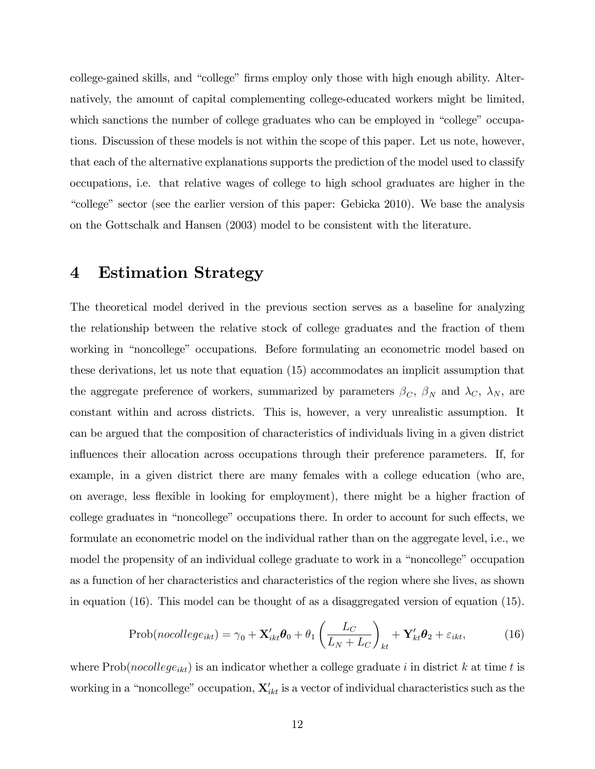college-gained skills, and "college" firms employ only those with high enough ability. Alternatively, the amount of capital complementing college-educated workers might be limited, which sanctions the number of college graduates who can be employed in "college" occupations. Discussion of these models is not within the scope of this paper. Let us note, however, that each of the alternative explanations supports the prediction of the model used to classify occupations, i.e. that relative wages of college to high school graduates are higher in the ìcollegeî sector (see the earlier version of this paper: Gebicka 2010). We base the analysis on the Gottschalk and Hansen (2003) model to be consistent with the literature.

#### 4 Estimation Strategy

The theoretical model derived in the previous section serves as a baseline for analyzing the relationship between the relative stock of college graduates and the fraction of them working in "noncollege" occupations. Before formulating an econometric model based on these derivations, let us note that equation (15) accommodates an implicit assumption that the aggregate preference of workers, summarized by parameters  $\beta_C$ ,  $\beta_N$  and  $\lambda_C$ ,  $\lambda_N$ , are constant within and across districts. This is, however, a very unrealistic assumption. It can be argued that the composition of characteristics of individuals living in a given district influences their allocation across occupations through their preference parameters. If, for example, in a given district there are many females with a college education (who are, on average, less flexible in looking for employment), there might be a higher fraction of college graduates in "noncollege" occupations there. In order to account for such effects, we formulate an econometric model on the individual rather than on the aggregate level, i.e., we model the propensity of an individual college graduate to work in a "noncollege" occupation as a function of her characteristics and characteristics of the region where she lives, as shown in equation (16). This model can be thought of as a disaggregated version of equation (15).

$$
Prob(nocollege_{ikt}) = \gamma_0 + \mathbf{X}'_{ikt}\boldsymbol{\theta}_0 + \theta_1 \left(\frac{L_C}{L_N + L_C}\right)_{kt} + \mathbf{Y}'_{kt}\boldsymbol{\theta}_2 + \varepsilon_{ikt},
$$
(16)

where  $Prob(nocollege_{ikt})$  is an indicator whether a college graduate i in district k at time t is working in a "noncollege" occupation,  $\mathbf{X}'_{ikt}$  is a vector of individual characteristics such as the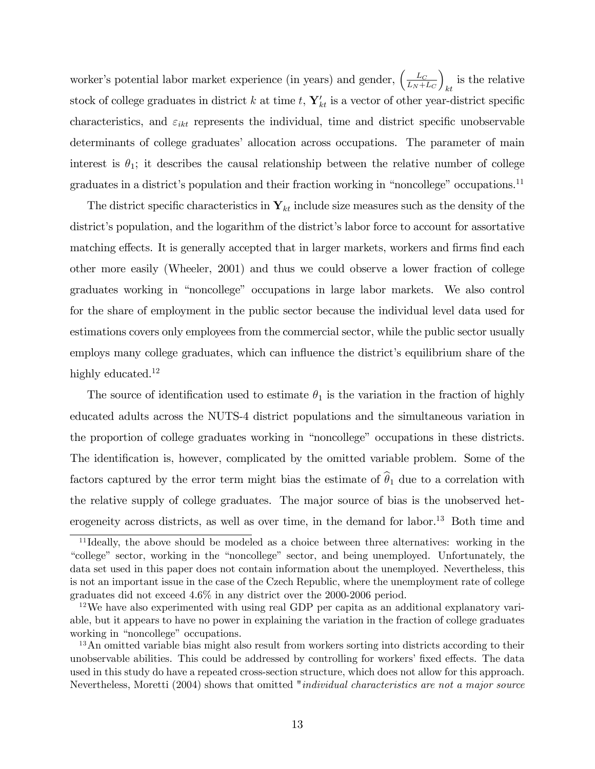worker's potential labor market experience (in years) and gender,  $\left(\frac{L_C}{L_M + L_C}\right)$  $L_N+L_C$  $\overline{ }$ is the relative  $\frac{1}{k}$ stock of college graduates in district k at time t,  $\mathbf{Y}_{kt}'$  is a vector of other year-district specific characteristics, and  $\varepsilon_{ikt}$  represents the individual, time and district specific unobservable determinants of college graduates' allocation across occupations. The parameter of main interest is  $\theta_1$ ; it describes the causal relationship between the relative number of college graduates in a district's population and their fraction working in "noncollege" occupations.<sup>11</sup>

The district specific characteristics in  $Y_{kt}$  include size measures such as the density of the district's population, and the logarithm of the district's labor force to account for assortative matching effects. It is generally accepted that in larger markets, workers and firms find each other more easily (Wheeler, 2001) and thus we could observe a lower fraction of college graduates working in "noncollege" occupations in large labor markets. We also control for the share of employment in the public sector because the individual level data used for estimations covers only employees from the commercial sector, while the public sector usually employs many college graduates, which can influence the district's equilibrium share of the highly educated.<sup>12</sup>

The source of identification used to estimate  $\theta_1$  is the variation in the fraction of highly educated adults across the NUTS-4 district populations and the simultaneous variation in the proportion of college graduates working in "noncollege" occupations in these districts. The identification is, however, complicated by the omitted variable problem. Some of the factors captured by the error term might bias the estimate of  $\hat{\theta}_1$  due to a correlation with the relative supply of college graduates. The major source of bias is the unobserved heterogeneity across districts, as well as over time, in the demand for labor.<sup>13</sup> Both time and

<sup>11</sup> Ideally, the above should be modeled as a choice between three alternatives: working in the "college" sector, working in the "noncollege" sector, and being unemployed. Unfortunately, the data set used in this paper does not contain information about the unemployed. Nevertheless, this is not an important issue in the case of the Czech Republic, where the unemployment rate of college graduates did not exceed 4.6% in any district over the 2000-2006 period.

<sup>&</sup>lt;sup>12</sup>We have also experimented with using real GDP per capita as an additional explanatory variable, but it appears to have no power in explaining the variation in the fraction of college graduates working in "noncollege" occupations.

<sup>&</sup>lt;sup>13</sup>An omitted variable bias might also result from workers sorting into districts according to their unobservable abilities. This could be addressed by controlling for workers' fixed effects. The data used in this study do have a repeated cross-section structure, which does not allow for this approach. Nevertheless, Moretti (2004) shows that omitted "individual characteristics are not a major source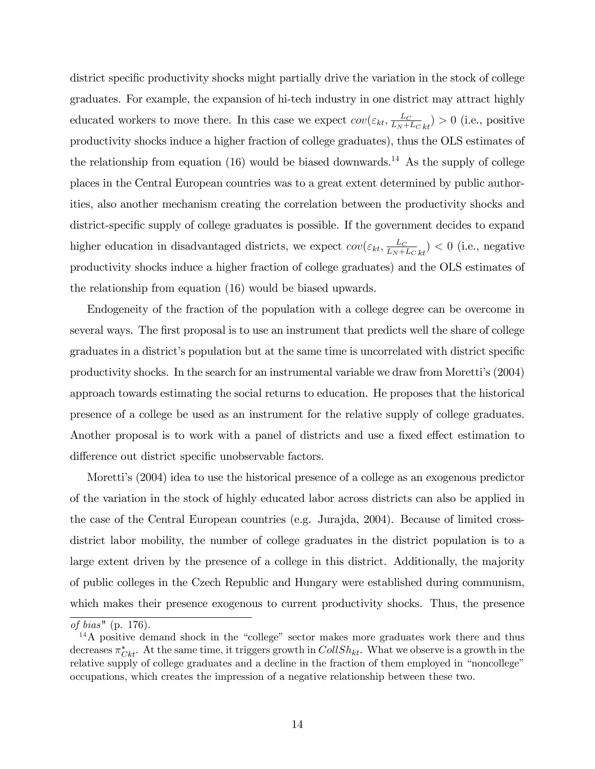district specific productivity shocks might partially drive the variation in the stock of college graduates. For example, the expansion of hi-tech industry in one district may attract highly educated workers to move there. In this case we expect  $cov(\varepsilon_{kt}, \frac{L_C}{L_N + L_C})$  $\frac{L_C}{L_N + L_C}$ <sub>kt</sub> $) > 0$  (i.e., positive productivity shocks induce a higher fraction of college graduates), thus the OLS estimates of the relationship from equation  $(16)$  would be biased downwards.<sup>14</sup> As the supply of college places in the Central European countries was to a great extent determined by public authorities, also another mechanism creating the correlation between the productivity shocks and district-specific supply of college graduates is possible. If the government decides to expand higher education in disadvantaged districts, we expect  $cov(\varepsilon_{kt}, \frac{L_C}{L_M})$  $\frac{L_C}{L_N + L_C}$ <sub>kt</sub> $)$  < 0 (i.e., negative productivity shocks induce a higher fraction of college graduates) and the OLS estimates of the relationship from equation (16) would be biased upwards.

Endogeneity of the fraction of the population with a college degree can be overcome in several ways. The first proposal is to use an instrument that predicts well the share of college graduates in a district's population but at the same time is uncorrelated with district specific productivity shocks. In the search for an instrumental variable we draw from Morettiís (2004) approach towards estimating the social returns to education. He proposes that the historical presence of a college be used as an instrument for the relative supply of college graduates. Another proposal is to work with a panel of districts and use a fixed effect estimation to difference out district specific unobservable factors.

Morettiís (2004) idea to use the historical presence of a college as an exogenous predictor of the variation in the stock of highly educated labor across districts can also be applied in the case of the Central European countries (e.g. Jurajda, 2004). Because of limited crossdistrict labor mobility, the number of college graduates in the district population is to a large extent driven by the presence of a college in this district. Additionally, the majority of public colleges in the Czech Republic and Hungary were established during communism, which makes their presence exogenous to current productivity shocks. Thus, the presence

of bias" (p. 176).

 $14A$  positive demand shock in the "college" sector makes more graduates work there and thus decreases  $\pi_{Ckt}^*$ . At the same time, it triggers growth in  $CollSh_{kt}$ . What we observe is a growth in the relative supply of college graduates and a decline in the fraction of them employed in "noncollege" occupations, which creates the impression of a negative relationship between these two.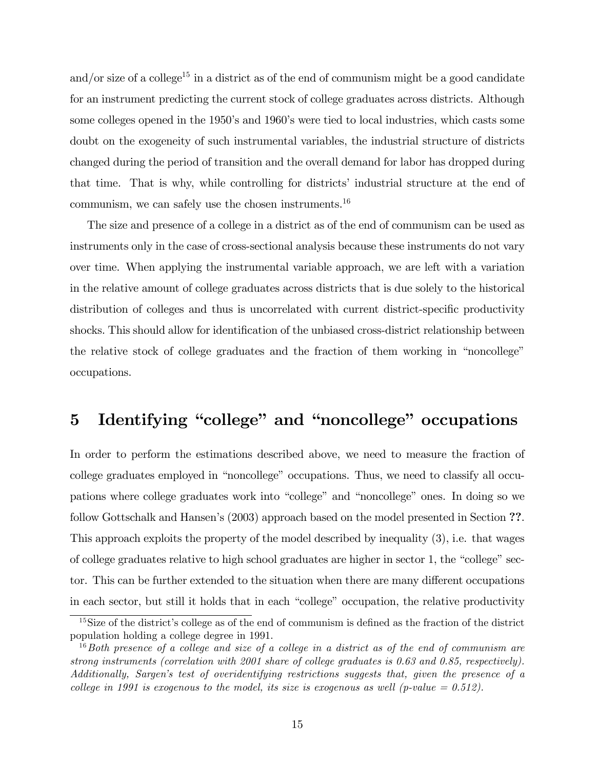and/or size of a college<sup>15</sup> in a district as of the end of communism might be a good candidate for an instrument predicting the current stock of college graduates across districts. Although some colleges opened in the 1950's and 1960's were tied to local industries, which casts some doubt on the exogeneity of such instrumental variables, the industrial structure of districts changed during the period of transition and the overall demand for labor has dropped during that time. That is why, while controlling for districts' industrial structure at the end of communism, we can safely use the chosen instruments.<sup>16</sup>

The size and presence of a college in a district as of the end of communism can be used as instruments only in the case of cross-sectional analysis because these instruments do not vary over time. When applying the instrumental variable approach, we are left with a variation in the relative amount of college graduates across districts that is due solely to the historical distribution of colleges and thus is uncorrelated with current district-specific productivity shocks. This should allow for identification of the unbiased cross-district relationship between the relative stock of college graduates and the fraction of them working in "noncollege" occupations.

## 5 Identifying "college" and "noncollege" occupations

In order to perform the estimations described above, we need to measure the fraction of college graduates employed in "noncollege" occupations. Thus, we need to classify all occupations where college graduates work into "college" and "noncollege" ones. In doing so we follow Gottschalk and Hansen's (2003) approach based on the model presented in Section ??. This approach exploits the property of the model described by inequality (3), i.e. that wages of college graduates relative to high school graduates are higher in sector  $1$ , the "college" sector. This can be further extended to the situation when there are many different occupations in each sector, but still it holds that in each "college" occupation, the relative productivity

 $15$ Size of the district's college as of the end of communism is defined as the fraction of the district population holding a college degree in 1991.

 $16$ Both presence of a college and size of a college in a district as of the end of communism are strong instruments (correlation with 2001 share of college graduates is 0.63 and 0.85, respectively). Additionally, Sargen's test of overidentifying restrictions suggests that, given the presence of a college in 1991 is exogenous to the model, its size is exogenous as well (p-value  $= 0.512$ ).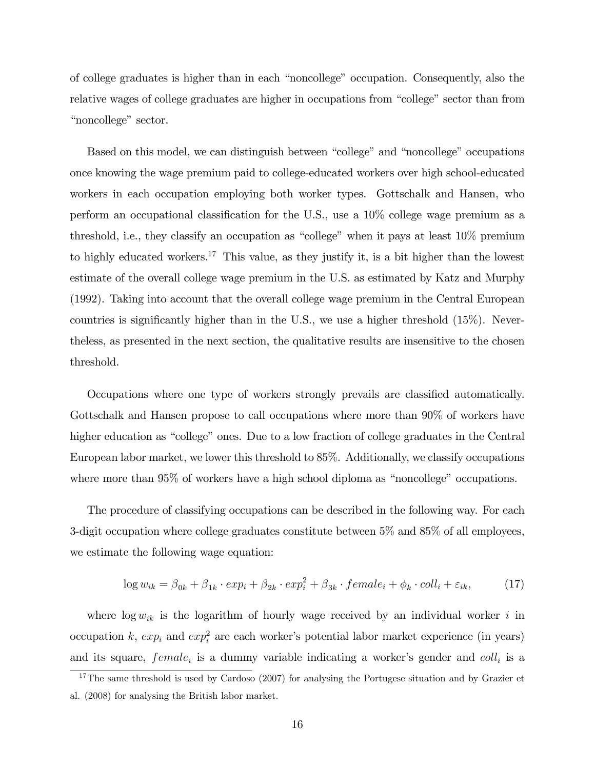of college graduates is higher than in each "noncollege" occupation. Consequently, also the relative wages of college graduates are higher in occupations from "college" sector than from "noncollege" sector.

Based on this model, we can distinguish between "college" and "noncollege" occupations once knowing the wage premium paid to college-educated workers over high school-educated workers in each occupation employing both worker types. Gottschalk and Hansen, who perform an occupational classification for the U.S., use a  $10\%$  college wage premium as a threshold, i.e., they classify an occupation as "college" when it pays at least  $10\%$  premium to highly educated workers.<sup>17</sup> This value, as they justify it, is a bit higher than the lowest estimate of the overall college wage premium in the U.S. as estimated by Katz and Murphy (1992). Taking into account that the overall college wage premium in the Central European countries is significantly higher than in the U.S., we use a higher threshold  $(15\%)$ . Nevertheless, as presented in the next section, the qualitative results are insensitive to the chosen threshold.

Occupations where one type of workers strongly prevails are classified automatically. Gottschalk and Hansen propose to call occupations where more than 90% of workers have higher education as "college" ones. Due to a low fraction of college graduates in the Central European labor market, we lower this threshold to 85%. Additionally, we classify occupations where more than  $95\%$  of workers have a high school diploma as "noncollege" occupations.

The procedure of classifying occupations can be described in the following way. For each 3-digit occupation where college graduates constitute between 5% and 85% of all employees, we estimate the following wage equation:

$$
\log w_{ik} = \beta_{0k} + \beta_{1k} \cdot exp_i + \beta_{2k} \cdot exp_i^2 + \beta_{3k} \cdot female_i + \phi_k \cdot coll_i + \varepsilon_{ik},\tag{17}
$$

where  $\log w_{ik}$  is the logarithm of hourly wage received by an individual worker i in occupation k,  $exp_i$  and  $exp_i^2$  are each worker's potential labor market experience (in years) and its square,  $female_i$  is a dummy variable indicating a worker's gender and  $coll_i$  is a

<sup>&</sup>lt;sup>17</sup>The same threshold is used by Cardoso (2007) for analysing the Portugese situation and by Grazier et al. (2008) for analysing the British labor market.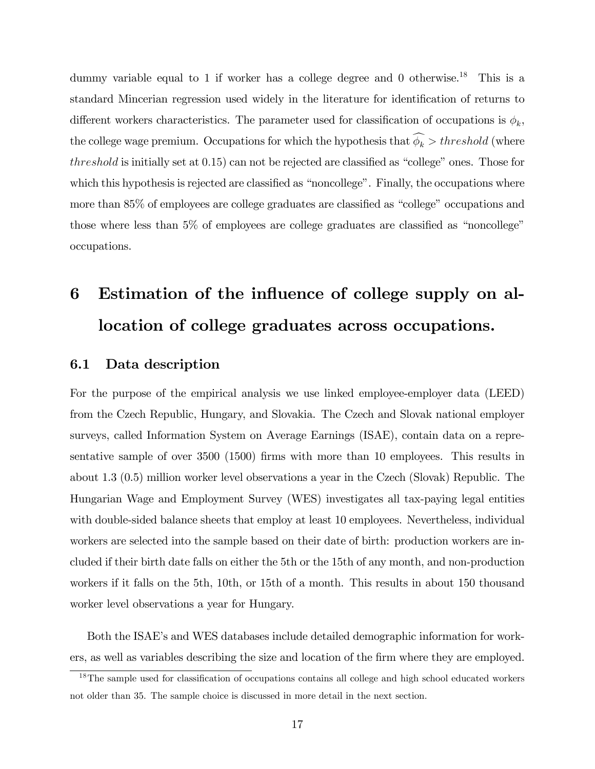dummy variable equal to 1 if worker has a college degree and 0 otherwise.<sup>18</sup> This is a standard Mincerian regression used widely in the literature for identification of returns to different workers characteristics. The parameter used for classification of occupations is  $\phi_k$ , the college wage premium. Occupations for which the hypothesis that  $\widehat{\phi_k} > threshold$  (where threshold is initially set at  $(0.15)$  can not be rejected are classified as "college" ones. Those for which this hypothesis is rejected are classified as "noncollege". Finally, the occupations where more than 85% of employees are college graduates are classified as "college" occupations and those where less than  $5\%$  of employees are college graduates are classified as "noncollege" occupations.

# 6 Estimation of the influence of college supply on allocation of college graduates across occupations.

#### 6.1 Data description

For the purpose of the empirical analysis we use linked employee-employer data (LEED) from the Czech Republic, Hungary, and Slovakia. The Czech and Slovak national employer surveys, called Information System on Average Earnings (ISAE), contain data on a representative sample of over  $3500$  (1500) firms with more than 10 employees. This results in about 1.3 (0.5) million worker level observations a year in the Czech (Slovak) Republic. The Hungarian Wage and Employment Survey (WES) investigates all tax-paying legal entities with double-sided balance sheets that employ at least 10 employees. Nevertheless, individual workers are selected into the sample based on their date of birth: production workers are included if their birth date falls on either the 5th or the 15th of any month, and non-production workers if it falls on the 5th, 10th, or 15th of a month. This results in about 150 thousand worker level observations a year for Hungary.

Both the ISAEís and WES databases include detailed demographic information for workers, as well as variables describing the size and location of the firm where they are employed.

 $18$ The sample used for classification of occupations contains all college and high school educated workers not older than 35. The sample choice is discussed in more detail in the next section.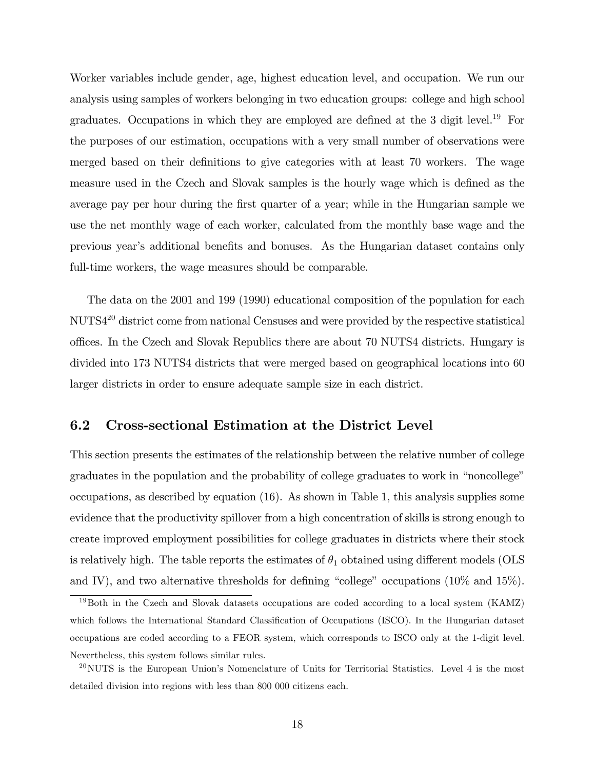Worker variables include gender, age, highest education level, and occupation. We run our analysis using samples of workers belonging in two education groups: college and high school graduates. Occupations in which they are employed are defined at the  $3$  digit level.<sup>19</sup> For the purposes of our estimation, occupations with a very small number of observations were merged based on their definitions to give categories with at least 70 workers. The wage measure used in the Czech and Slovak samples is the hourly wage which is defined as the average pay per hour during the Örst quarter of a year; while in the Hungarian sample we use the net monthly wage of each worker, calculated from the monthly base wage and the previous year's additional benefits and bonuses. As the Hungarian dataset contains only full-time workers, the wage measures should be comparable.

The data on the 2001 and 199 (1990) educational composition of the population for each NUTS4<sup>20</sup> district come from national Censuses and were provided by the respective statistical o¢ ces. In the Czech and Slovak Republics there are about 70 NUTS4 districts. Hungary is divided into 173 NUTS4 districts that were merged based on geographical locations into 60 larger districts in order to ensure adequate sample size in each district.

#### 6.2 Cross-sectional Estimation at the District Level

This section presents the estimates of the relationship between the relative number of college graduates in the population and the probability of college graduates to work in "noncollege" occupations, as described by equation (16). As shown in Table 1, this analysis supplies some evidence that the productivity spillover from a high concentration of skills is strong enough to create improved employment possibilities for college graduates in districts where their stock is relatively high. The table reports the estimates of  $\theta_1$  obtained using different models (OLS and IV), and two alternative thresholds for defining "college" occupations ( $10\%$  and  $15\%$ ).

<sup>&</sup>lt;sup>19</sup>Both in the Czech and Slovak datasets occupations are coded according to a local system (KAMZ) which follows the International Standard Classification of Occupations (ISCO). In the Hungarian dataset occupations are coded according to a FEOR system, which corresponds to ISCO only at the 1-digit level. Nevertheless, this system follows similar rules.

 $^{20}$ NUTS is the European Union's Nomenclature of Units for Territorial Statistics. Level 4 is the most detailed division into regions with less than 800 000 citizens each.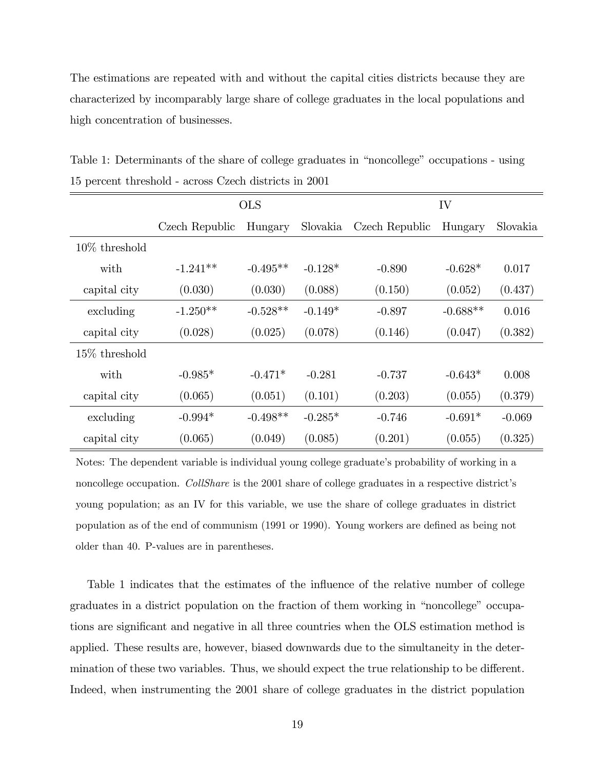The estimations are repeated with and without the capital cities districts because they are characterized by incomparably large share of college graduates in the local populations and high concentration of businesses.

|                  | <b>OLS</b>     |            |           | IV             |            |          |
|------------------|----------------|------------|-----------|----------------|------------|----------|
|                  | Czech Republic | Hungary    | Slovakia  | Czech Republic | Hungary    | Slovakia |
| $10\%$ threshold |                |            |           |                |            |          |
| with             | $-1.241**$     | $-0.495**$ | $-0.128*$ | $-0.890$       | $-0.628*$  | 0.017    |
| capital city     | (0.030)        | (0.030)    | (0.088)   | (0.150)        | (0.052)    | (0.437)  |
| excluding        | $-1.250**$     | $-0.528**$ | $-0.149*$ | $-0.897$       | $-0.688**$ | 0.016    |
| capital city     | (0.028)        | (0.025)    | (0.078)   | (0.146)        | (0.047)    | (0.382)  |
| $15\%$ threshold |                |            |           |                |            |          |
| with             | $-0.985*$      | $-0.471*$  | $-0.281$  | $-0.737$       | $-0.643*$  | 0.008    |
| capital city     | (0.065)        | (0.051)    | (0.101)   | (0.203)        | (0.055)    | (0.379)  |
| excluding        | $-0.994*$      | $-0.498**$ | $-0.285*$ | $-0.746$       | $-0.691*$  | $-0.069$ |
| capital city     | (0.065)        | (0.049)    | (0.085)   | (0.201)        | (0.055)    | (0.325)  |

Table 1: Determinants of the share of college graduates in "noncollege" occupations - using 15 percent threshold - across Czech districts in 2001

Notes: The dependent variable is individual young college graduate's probability of working in a noncollege occupation. CollShare is the 2001 share of college graduates in a respective district's young population; as an IV for this variable, we use the share of college graduates in district population as of the end of communism (1991 or 1990). Young workers are deÖned as being not older than 40. P-values are in parentheses.

Table 1 indicates that the estimates of the influence of the relative number of college graduates in a district population on the fraction of them working in "noncollege" occupations are significant and negative in all three countries when the OLS estimation method is applied. These results are, however, biased downwards due to the simultaneity in the determination of these two variables. Thus, we should expect the true relationship to be different. Indeed, when instrumenting the 2001 share of college graduates in the district population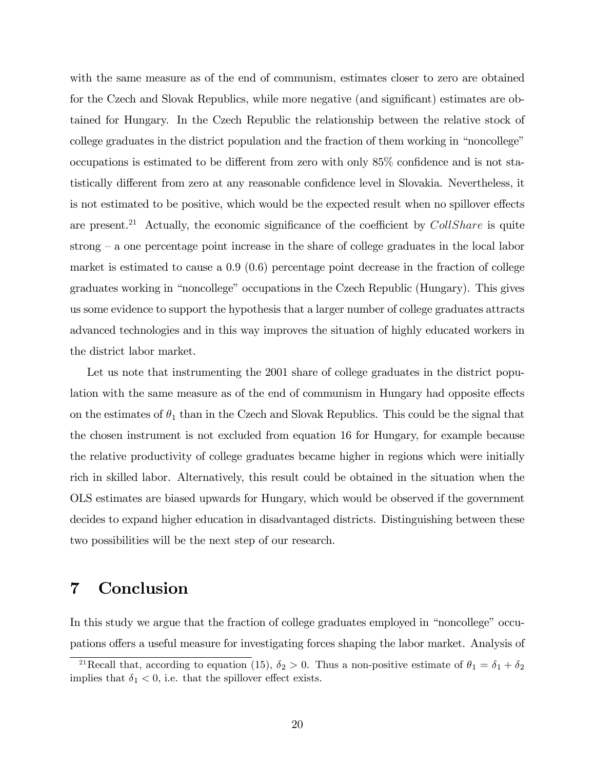with the same measure as of the end of communism, estimates closer to zero are obtained for the Czech and Slovak Republics, while more negative (and significant) estimates are obtained for Hungary. In the Czech Republic the relationship between the relative stock of college graduates in the district population and the fraction of them working in "noncollege" occupations is estimated to be different from zero with only  $85\%$  confidence and is not statistically different from zero at any reasonable confidence level in Slovakia. Nevertheless, it is not estimated to be positive, which would be the expected result when no spillover effects are present.<sup>21</sup> Actually, the economic significance of the coefficient by  $CollShare$  is quite strong  $-\alpha$  one percentage point increase in the share of college graduates in the local labor market is estimated to cause a 0.9 (0.6) percentage point decrease in the fraction of college graduates working in "noncollege" occupations in the Czech Republic (Hungary). This gives us some evidence to support the hypothesis that a larger number of college graduates attracts advanced technologies and in this way improves the situation of highly educated workers in the district labor market.

Let us note that instrumenting the 2001 share of college graduates in the district population with the same measure as of the end of communism in Hungary had opposite effects on the estimates of  $\theta_1$  than in the Czech and Slovak Republics. This could be the signal that the chosen instrument is not excluded from equation 16 for Hungary, for example because the relative productivity of college graduates became higher in regions which were initially rich in skilled labor. Alternatively, this result could be obtained in the situation when the OLS estimates are biased upwards for Hungary, which would be observed if the government decides to expand higher education in disadvantaged districts. Distinguishing between these two possibilities will be the next step of our research.

#### 7 Conclusion

In this study we argue that the fraction of college graduates employed in "noncollege" occupations offers a useful measure for investigating forces shaping the labor market. Analysis of

<sup>&</sup>lt;sup>21</sup>Recall that, according to equation (15),  $\delta_2 > 0$ . Thus a non-positive estimate of  $\theta_1 = \delta_1 + \delta_2$ implies that  $\delta_1 < 0$ , i.e. that the spillover effect exists.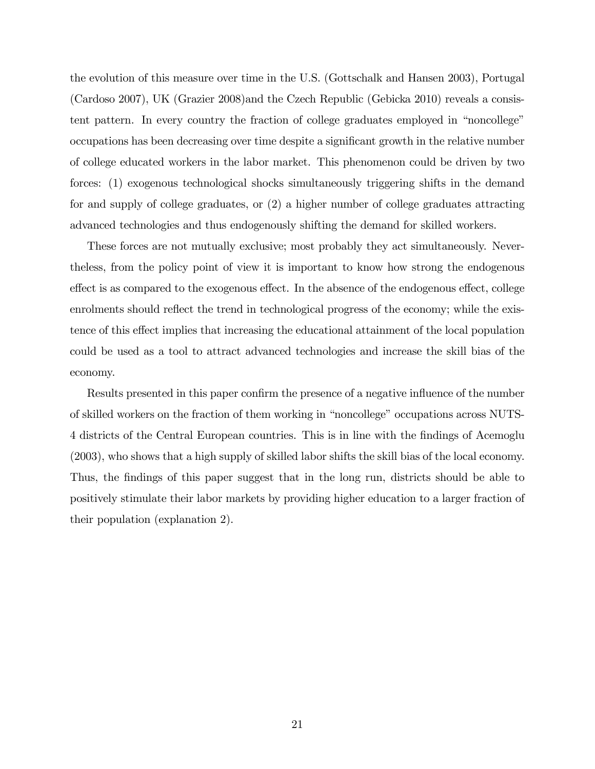the evolution of this measure over time in the U.S. (Gottschalk and Hansen 2003), Portugal (Cardoso 2007), UK (Grazier 2008)and the Czech Republic (Gebicka 2010) reveals a consistent pattern. In every country the fraction of college graduates employed in "noncollege" occupations has been decreasing over time despite a signiÖcant growth in the relative number of college educated workers in the labor market. This phenomenon could be driven by two forces: (1) exogenous technological shocks simultaneously triggering shifts in the demand for and supply of college graduates, or (2) a higher number of college graduates attracting advanced technologies and thus endogenously shifting the demand for skilled workers.

These forces are not mutually exclusive; most probably they act simultaneously. Nevertheless, from the policy point of view it is important to know how strong the endogenous effect is as compared to the exogenous effect. In the absence of the endogenous effect, college enrolments should reflect the trend in technological progress of the economy; while the existence of this effect implies that increasing the educational attainment of the local population could be used as a tool to attract advanced technologies and increase the skill bias of the economy.

Results presented in this paper confirm the presence of a negative influence of the number of skilled workers on the fraction of them working in "noncollege" occupations across NUTS-4 districts of the Central European countries. This is in line with the Öndings of Acemoglu (2003), who shows that a high supply of skilled labor shifts the skill bias of the local economy. Thus, the findings of this paper suggest that in the long run, districts should be able to positively stimulate their labor markets by providing higher education to a larger fraction of their population (explanation 2).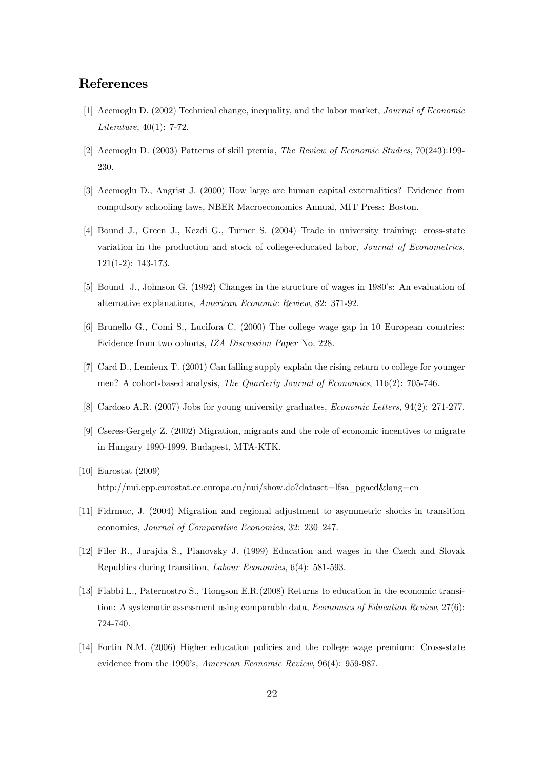#### References

- [1] Acemoglu D. (2002) Technical change, inequality, and the labor market, Journal of Economic Literature, 40(1): 7-72.
- [2] Acemoglu D. (2003) Patterns of skill premia, The Review of Economic Studies, 70(243):199- 230.
- [3] Acemoglu D., Angrist J. (2000) How large are human capital externalities? Evidence from compulsory schooling laws, NBER Macroeconomics Annual, MIT Press: Boston.
- [4] Bound J., Green J., Kezdi G., Turner S. (2004) Trade in university training: cross-state variation in the production and stock of college-educated labor, Journal of Econometrics, 121(1-2): 143-173.
- [5] Bound J., Johnson G. (1992) Changes in the structure of wages in 1980's: An evaluation of alternative explanations, American Economic Review, 82: 371-92.
- [6] Brunello G., Comi S., Lucifora C. (2000) The college wage gap in 10 European countries: Evidence from two cohorts, IZA Discussion Paper No. 228.
- [7] Card D., Lemieux T. (2001) Can falling supply explain the rising return to college for younger men? A cohort-based analysis, The Quarterly Journal of Economics, 116(2): 705-746.
- [8] Cardoso A.R. (2007) Jobs for young university graduates, Economic Letters, 94(2): 271-277.
- [9] Cseres-Gergely Z. (2002) Migration, migrants and the role of economic incentives to migrate in Hungary 1990-1999. Budapest, MTA-KTK.
- [10] Eurostat (2009) http://nui.epp.eurostat.ec.europa.eu/nui/show.do?dataset=lfsa\_pgaed&lang=en
- [11] Fidrmuc, J. (2004) Migration and regional adjustment to asymmetric shocks in transition economies, Journal of Comparative Economics, 32: 230–247.
- [12] Filer R., Jurajda S., Planovsky J. (1999) Education and wages in the Czech and Slovak Republics during transition, Labour Economics, 6(4): 581-593.
- [13] Flabbi L., Paternostro S., Tiongson E.R.(2008) Returns to education in the economic transition: A systematic assessment using comparable data, Economics of Education Review, 27(6): 724-740.
- [14] Fortin N.M. (2006) Higher education policies and the college wage premium: Cross-state evidence from the 1990's, American Economic Review, 96(4): 959-987.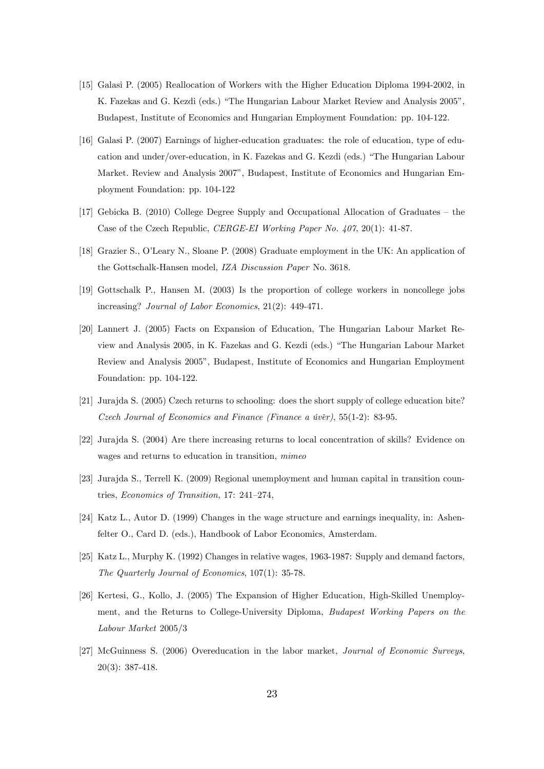- [15] Galasi P. (2005) Reallocation of Workers with the Higher Education Diploma 1994-2002, in K. Fazekas and G. Kezdi (eds.) "The Hungarian Labour Market Review and Analysis 2005", Budapest, Institute of Economics and Hungarian Employment Foundation: pp. 104-122.
- [16] Galasi P. (2007) Earnings of higher-education graduates: the role of education, type of education and under/over-education, in K. Fazekas and G. Kezdi (eds.) "The Hungarian Labour Market. Review and Analysis 2007", Budapest, Institute of Economics and Hungarian Employment Foundation: pp. 104-122
- [17] Gebicka B.  $(2010)$  College Degree Supply and Occupational Allocation of Graduates the Case of the Czech Republic, CERGE-EI Working Paper No. 407, 20(1): 41-87.
- [18] Grazier S., O'Leary N., Sloane P. (2008) Graduate employment in the UK: An application of the Gottschalk-Hansen model, IZA Discussion Paper No. 3618.
- [19] Gottschalk P., Hansen M. (2003) Is the proportion of college workers in noncollege jobs increasing? Journal of Labor Economics, 21(2): 449-471.
- [20] Lannert J. (2005) Facts on Expansion of Education, The Hungarian Labour Market Review and Analysis 2005, in K. Fazekas and G. Kezdi (eds.) "The Hungarian Labour Market Review and Analysis 2005î, Budapest, Institute of Economics and Hungarian Employment Foundation: pp. 104-122.
- [21] Jurajda S. (2005) Czech returns to schooling: does the short supply of college education bite? Czech Journal of Economics and Finance (Finance a úvěr), 55(1-2): 83-95.
- [22] Jurajda S. (2004) Are there increasing returns to local concentration of skills? Evidence on wages and returns to education in transition, *mimeo*
- [23] Jurajda S., Terrell K. (2009) Regional unemployment and human capital in transition countries, Economics of Transition, 17: 241-274,
- [24] Katz L., Autor D. (1999) Changes in the wage structure and earnings inequality, in: Ashenfelter O., Card D. (eds.), Handbook of Labor Economics, Amsterdam.
- [25] Katz L., Murphy K. (1992) Changes in relative wages, 1963-1987: Supply and demand factors, The Quarterly Journal of Economics, 107(1): 35-78.
- [26] Kertesi, G., Kollo, J. (2005) The Expansion of Higher Education, High-Skilled Unemployment, and the Returns to College-University Diploma, Budapest Working Papers on the Labour Market 2005/3
- [27] McGuinness S. (2006) Overeducation in the labor market, Journal of Economic Surveys, 20(3): 387-418.